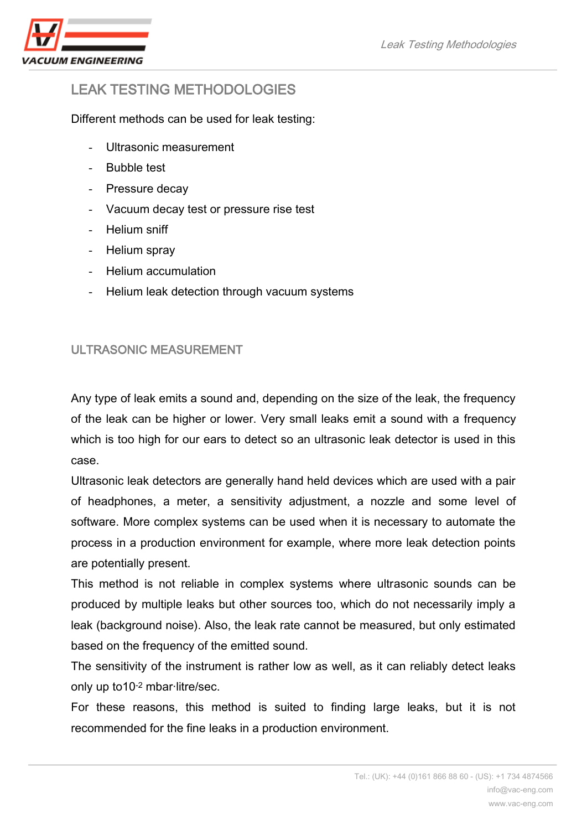

# LEAK TESTING METHODOLOGIES

Different methods can be used for leak testing:

- Ultrasonic measurement
- Bubble test
- Pressure decay
- Vacuum decay test or pressure rise test
- Helium sniff
- Helium spray
- Helium accumulation
- Helium leak detection through vacuum systems

## ULTRASONIC MEASUREMENT

Any type of leak emits a sound and, depending on the size of the leak, the frequency of the leak can be higher or lower. Very small leaks emit a sound with a frequency which is too high for our ears to detect so an ultrasonic leak detector is used in this case.

Ultrasonic leak detectors are generally hand held devices which are used with a pair of headphones, a meter, a sensitivity adjustment, a nozzle and some level of software. More complex systems can be used when it is necessary to automate the process in a production environment for example, where more leak detection points are potentially present.

This method is not reliable in complex systems where ultrasonic sounds can be produced by multiple leaks but other sources too, which do not necessarily imply a leak (background noise). Also, the leak rate cannot be measured, but only estimated based on the frequency of the emitted sound.

The sensitivity of the instrument is rather low as well, as it can reliably detect leaks only up to10-2 mbar·litre/sec.

For these reasons, this method is suited to finding large leaks, but it is not recommended for the fine leaks in a production environment.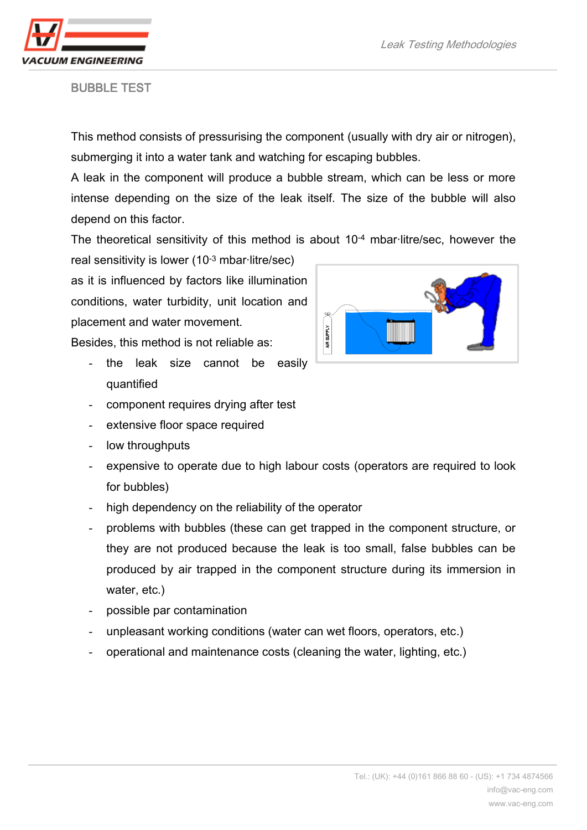

BUBBLE TEST

This method consists of pressurising the component (usually with dry air or nitrogen), submerging it into a water tank and watching for escaping bubbles.

A leak in the component will produce a bubble stream, which can be less or more intense depending on the size of the leak itself. The size of the bubble will also depend on this factor.

The theoretical sensitivity of this method is about 10<sup>-4</sup> mbar-litre/sec, however the

real sensitivity is lower (10-3 mbar·litre/sec) as it is influenced by factors like illumination conditions, water turbidity, unit location and placement and water movement.

Besides, this method is not reliable as:

- the leak size cannot be easily quantified
- component requires drying after test
- extensive floor space required
- low throughputs
- expensive to operate due to high labour costs (operators are required to look for bubbles)
- high dependency on the reliability of the operator
- problems with bubbles (these can get trapped in the component structure, or they are not produced because the leak is too small, false bubbles can be produced by air trapped in the component structure during its immersion in water, etc.)
- possible par contamination
- unpleasant working conditions (water can wet floors, operators, etc.)
- operational and maintenance costs (cleaning the water, lighting, etc.)

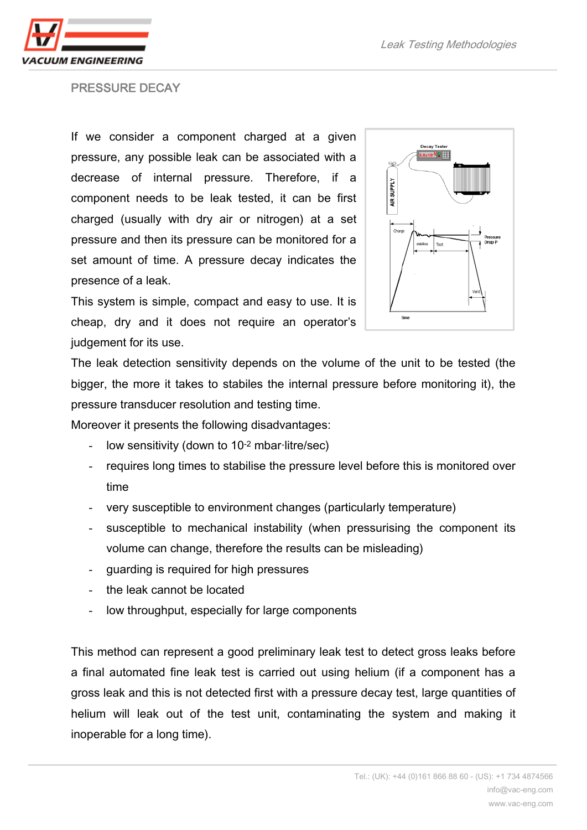ACUUM ENGINEERING

#### PRESSURE DECAY

If we consider a component charged at a given pressure, any possible leak can be associated with a decrease of internal pressure. Therefore, if a component needs to be leak tested, it can be first charged (usually with dry air or nitrogen) at a set pressure and then its pressure can be monitored for a set amount of time. A pressure decay indicates the presence of a leak.



This system is simple, compact and easy to use. It is cheap, dry and it does not require an operator's judgement for its use.

The leak detection sensitivity depends on the volume of the unit to be tested (the bigger, the more it takes to stabiles the internal pressure before monitoring it), the pressure transducer resolution and testing time.

Moreover it presents the following disadvantages:

- low sensitivity (down to 10<sup>-2</sup> mbar-litre/sec)
- requires long times to stabilise the pressure level before this is monitored over time
- very susceptible to environment changes (particularly temperature)
- susceptible to mechanical instability (when pressurising the component its volume can change, therefore the results can be misleading)
- guarding is required for high pressures
- the leak cannot be located
- low throughput, especially for large components

This method can represent a good preliminary leak test to detect gross leaks before a final automated fine leak test is carried out using helium (if a component has a gross leak and this is not detected first with a pressure decay test, large quantities of helium will leak out of the test unit, contaminating the system and making it inoperable for a long time).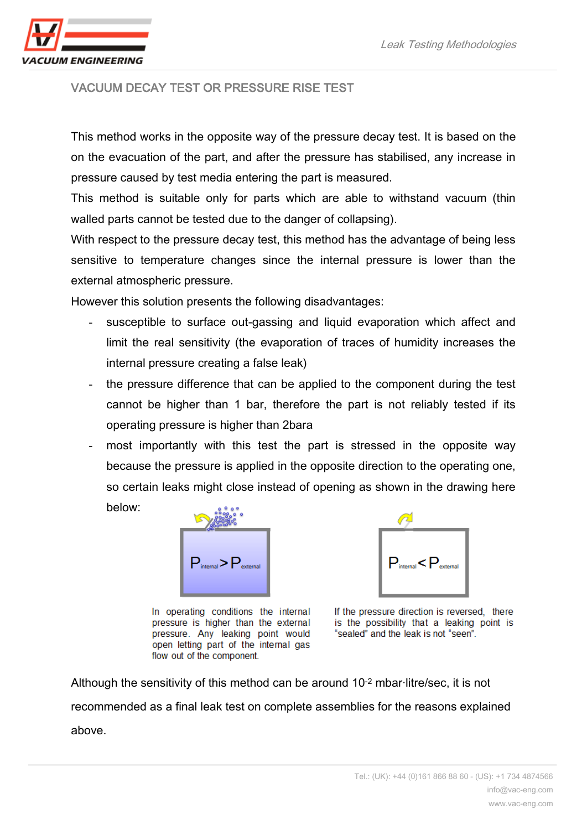

## VACUUM DECAY TEST OR PRESSURE RISE TEST

This method works in the opposite way of the pressure decay test. It is based on the on the evacuation of the part, and after the pressure has stabilised, any increase in pressure caused by test media entering the part is measured.

This method is suitable only for parts which are able to withstand vacuum (thin walled parts cannot be tested due to the danger of collapsing).

With respect to the pressure decay test, this method has the advantage of being less sensitive to temperature changes since the internal pressure is lower than the external atmospheric pressure.

However this solution presents the following disadvantages:

- susceptible to surface out-gassing and liquid evaporation which affect and limit the real sensitivity (the evaporation of traces of humidity increases the internal pressure creating a false leak)
- the pressure difference that can be applied to the component during the test cannot be higher than 1 bar, therefore the part is not reliably tested if its operating pressure is higher than 2bara
- most importantly with this test the part is stressed in the opposite way because the pressure is applied in the opposite direction to the operating one, so certain leaks might close instead of opening as shown in the drawing here below:



In operating conditions the internal pressure is higher than the external pressure. Any leaking point would open letting part of the internal gas flow out of the component.



If the pressure direction is reversed. there is the possibility that a leaking point is "sealed" and the leak is not "seen".

Although the sensitivity of this method can be around 10-2 mbar·litre/sec, it is not recommended as a final leak test on complete assemblies for the reasons explained above.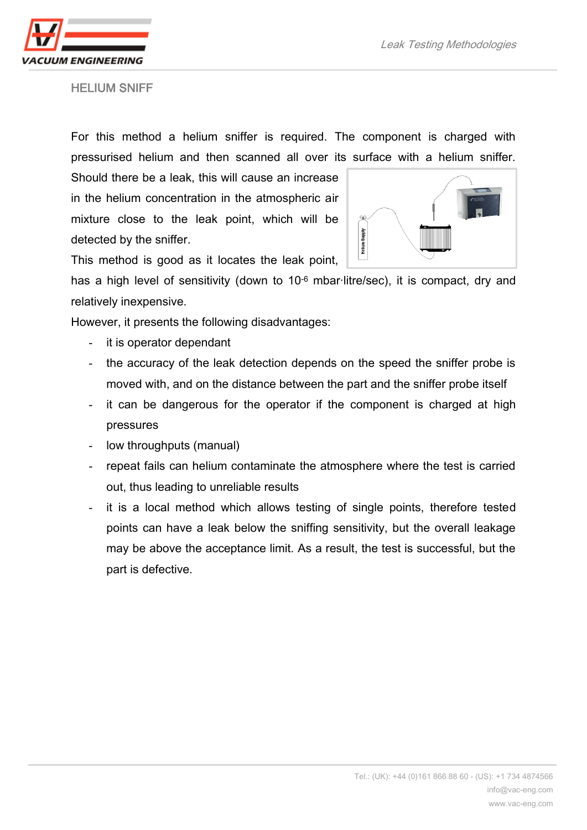

Leak Testing Methodologies

HELIUM SNIFF

For this method a helium sniffer is required. The component is charged with pressurised helium and then scanned all over its surface with a helium sniffer.

Should there be a leak, this will cause an increase in the helium concentration in the atmospheric air mixture close to the leak point, which will be detected by the sniffer.



This method is good as it locates the leak point,

has a high level of sensitivity (down to 10<sup>-6</sup> mbar-litre/sec), it is compact, dry and relatively inexpensive.

However, it presents the following disadvantages:

- it is operator dependant
- the accuracy of the leak detection depends on the speed the sniffer probe is moved with, and on the distance between the part and the sniffer probe itself
- it can be dangerous for the operator if the component is charged at high pressures
- low throughputs (manual)
- repeat fails can helium contaminate the atmosphere where the test is carried out, thus leading to unreliable results
- it is a local method which allows testing of single points, therefore tested points can have a leak below the sniffing sensitivity, but the overall leakage may be above the acceptance limit. As a result, the test is successful, but the part is defective.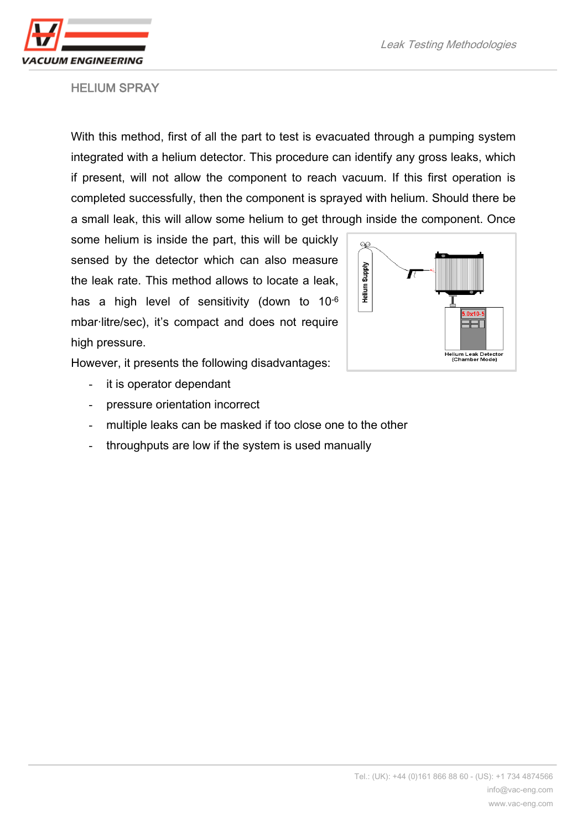

## HELIUM SPRAY

With this method, first of all the part to test is evacuated through a pumping system integrated with a helium detector. This procedure can identify any gross leaks, which if present, will not allow the component to reach vacuum. If this first operation is completed successfully, then the component is sprayed with helium. Should there be a small leak, this will allow some helium to get through inside the component. Once

some helium is inside the part, this will be quickly sensed by the detector which can also measure the leak rate. This method allows to locate a leak, has a high level of sensitivity (down to 10-6 mbar·litre/sec), it's compact and does not require high pressure.



However, it presents the following disadvantages:

- it is operator dependant
- pressure orientation incorrect
- multiple leaks can be masked if too close one to the other
- throughputs are low if the system is used manually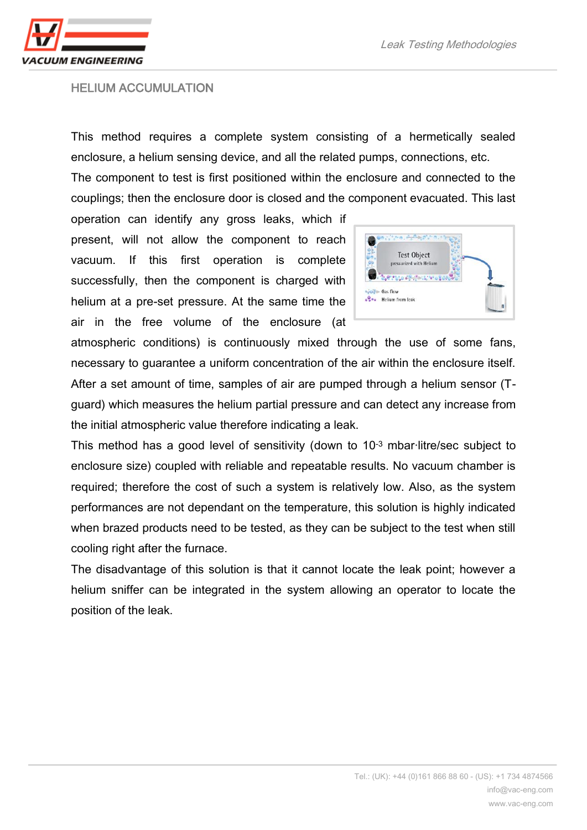

#### HELIUM ACCUMULATION

This method requires a complete system consisting of a hermetically sealed enclosure, a helium sensing device, and all the related pumps, connections, etc.

The component to test is first positioned within the enclosure and connected to the couplings; then the enclosure door is closed and the component evacuated. This last

operation can identify any gross leaks, which if present, will not allow the component to reach vacuum. If this first operation is complete successfully, then the component is charged with helium at a pre-set pressure. At the same time the air in the free volume of the enclosure (at



atmospheric conditions) is continuously mixed through the use of some fans, necessary to guarantee a uniform concentration of the air within the enclosure itself. After a set amount of time, samples of air are pumped through a helium sensor (Tguard) which measures the helium partial pressure and can detect any increase from the initial atmospheric value therefore indicating a leak.

This method has a good level of sensitivity (down to 10-3 mbar·litre/sec subject to enclosure size) coupled with reliable and repeatable results. No vacuum chamber is required; therefore the cost of such a system is relatively low. Also, as the system performances are not dependant on the temperature, this solution is highly indicated when brazed products need to be tested, as they can be subject to the test when still cooling right after the furnace.

The disadvantage of this solution is that it cannot locate the leak point; however a helium sniffer can be integrated in the system allowing an operator to locate the position of the leak.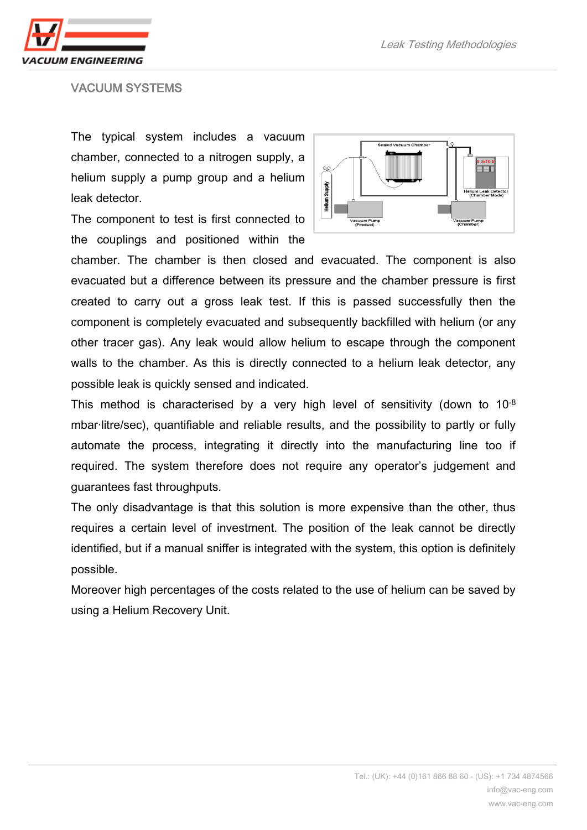

#### VACUUM SYSTEMS

The typical system includes a vacuum chamber, connected to a nitrogen supply, a helium supply a pump group and a helium leak detector.

The component to test is first connected to the couplings and positioned within the



chamber. The chamber is then closed and evacuated. The component is also evacuated but a difference between its pressure and the chamber pressure is first created to carry out a gross leak test. If this is passed successfully then the component is completely evacuated and subsequently backfilled with helium (or any other tracer gas). Any leak would allow helium to escape through the component walls to the chamber. As this is directly connected to a helium leak detector, any possible leak is quickly sensed and indicated.

This method is characterised by a very high level of sensitivity (down to 10-8 mbar·litre/sec), quantifiable and reliable results, and the possibility to partly or fully automate the process, integrating it directly into the manufacturing line too if required. The system therefore does not require any operator's judgement and guarantees fast throughputs.

The only disadvantage is that this solution is more expensive than the other, thus requires a certain level of investment. The position of the leak cannot be directly identified, but if a manual sniffer is integrated with the system, this option is definitely possible.

Moreover high percentages of the costs related to the use of helium can be saved by using a Helium Recovery Unit.